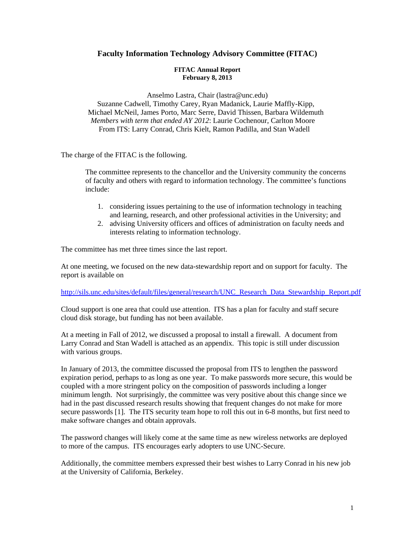## **Faculty Information Technology Advisory Committee (FITAC)**

## **FITAC Annual Report February 8, 2013**

Anselmo Lastra, Chair (lastra@unc.edu) Suzanne Cadwell, Timothy Carey, Ryan Madanick, Laurie Maffly-Kipp, Michael McNeil, James Porto, Marc Serre, David Thissen, Barbara Wildemuth *Members with term that ended AY 2012*: Laurie Cochenour, Carlton Moore From ITS: Larry Conrad, Chris Kielt, Ramon Padilla, and Stan Wadell

The charge of the FITAC is the following.

The committee represents to the chancellor and the University community the concerns of faculty and others with regard to information technology. The committee's functions include:

- 1. considering issues pertaining to the use of information technology in teaching and learning, research, and other professional activities in the University; and
- 2. advising University officers and offices of administration on faculty needs and interests relating to information technology.

The committee has met three times since the last report.

At one meeting, we focused on the new data-stewardship report and on support for faculty. The report is available on

## http://sils.unc.edu/sites/default/files/general/research/UNC\_Research\_Data\_Stewardship\_Report.pdf

Cloud support is one area that could use attention. ITS has a plan for faculty and staff secure cloud disk storage, but funding has not been available.

At a meeting in Fall of 2012, we discussed a proposal to install a firewall. A document from Larry Conrad and Stan Wadell is attached as an appendix. This topic is still under discussion with various groups.

In January of 2013, the committee discussed the proposal from ITS to lengthen the password expiration period, perhaps to as long as one year. To make passwords more secure, this would be coupled with a more stringent policy on the composition of passwords including a longer minimum length. Not surprisingly, the committee was very positive about this change since we had in the past discussed research results showing that frequent changes do not make for more secure passwords [1]. The ITS security team hope to roll this out in 6-8 months, but first need to make software changes and obtain approvals.

The password changes will likely come at the same time as new wireless networks are deployed to more of the campus. ITS encourages early adopters to use UNC-Secure.

Additionally, the committee members expressed their best wishes to Larry Conrad in his new job at the University of California, Berkeley.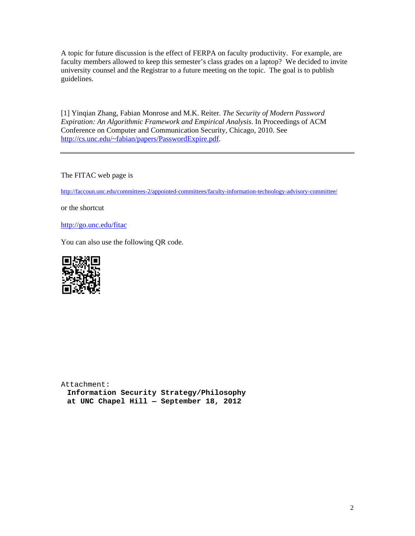A topic for future discussion is the effect of FERPA on faculty productivity. For example, are faculty members allowed to keep this semester's class grades on a laptop? We decided to invite university counsel and the Registrar to a future meeting on the topic. The goal is to publish guidelines.

[1] Yinqian Zhang, Fabian Monrose and M.K. Reiter. *The Security of Modern Password Expiration: An Algorithmic Framework and Empirical Analysis*. In Proceedings of ACM Conference on Computer and Communication Security, Chicago, 2010. See http://cs.unc.edu/~fabian/papers/PasswordExpire.pdf.

The FITAC web page is

http://faccoun.unc.edu/committees-2/appointed-committees/faculty-information-technology-advisory-committee/

or the shortcut

http://go.unc.edu/fitac

You can also use the following QR code.



Attachment: **Information Security Strategy/Philosophy at UNC Chapel Hill — September 18, 2012**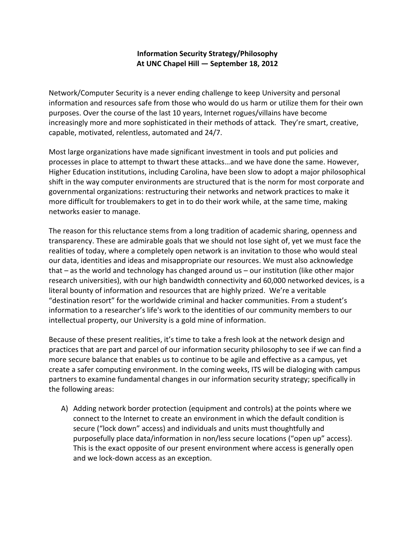## **Information Security Strategy/Philosophy At UNC Chapel Hill — September 18, 2012**

Network/Computer Security is a never ending challenge to keep University and personal information and resources safe from those who would do us harm or utilize them for their own purposes. Over the course of the last 10 years, Internet rogues/villains have become increasingly more and more sophisticated in their methods of attack. They're smart, creative, capable, motivated, relentless, automated and 24/7.

Most large organizations have made significant investment in tools and put policies and processes in place to attempt to thwart these attacks…and we have done the same. However, Higher Education institutions, including Carolina, have been slow to adopt a major philosophical shift in the way computer environments are structured that is the norm for most corporate and governmental organizations: restructuring their networks and network practices to make it more difficult for troublemakers to get in to do their work while, at the same time, making networks easier to manage.

The reason for this reluctance stems from a long tradition of academic sharing, openness and transparency. These are admirable goals that we should not lose sight of, yet we must face the realities of today, where a completely open network is an invitation to those who would steal our data, identities and ideas and misappropriate our resources. We must also acknowledge that – as the world and technology has changed around us – our institution (like other major research universities), with our high bandwidth connectivity and 60,000 networked devices, is a literal bounty of information and resources that are highly prized. We're a veritable "destination resort" for the worldwide criminal and hacker communities. From a student's information to a researcher's life's work to the identities of our community members to our intellectual property, our University is a gold mine of information.

Because of these present realities, it's time to take a fresh look at the network design and practices that are part and parcel of our information security philosophy to see if we can find a more secure balance that enables us to continue to be agile and effective as a campus, yet create a safer computing environment. In the coming weeks, ITS will be dialoging with campus partners to examine fundamental changes in our information security strategy; specifically in the following areas:

A) Adding network border protection (equipment and controls) at the points where we connect to the Internet to create an environment in which the default condition is secure ("lock down" access) and individuals and units must thoughtfully and purposefully place data/information in non/less secure locations ("open up" access). This is the exact opposite of our present environment where access is generally open and we lock-down access as an exception.